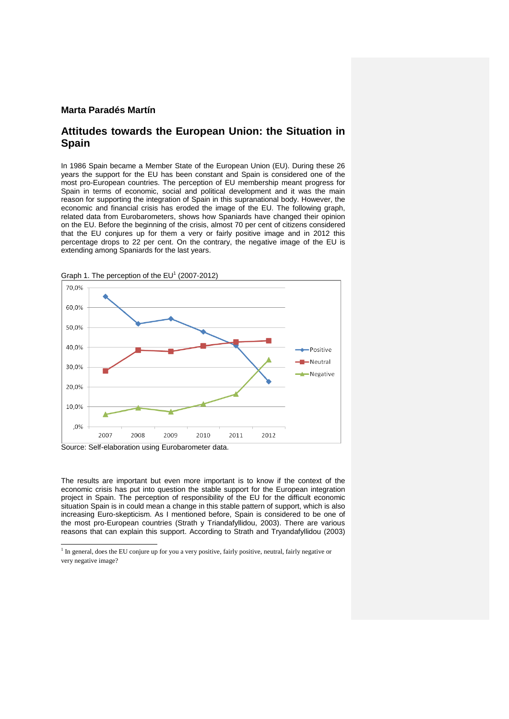## **Marta Paradés Martín**

## **Attitudes towards the European Union: the Situation in Spain**

In 1986 Spain became a Member State of the European Union (EU). During these 26 years the support for the EU has been constant and Spain is considered one of the most pro-European countries. The perception of EU membership meant progress for Spain in terms of economic, social and political development and it was the main reason for supporting the integration of Spain in this supranational body. However, the economic and financial crisis has eroded the image of the EU. The following graph, related data from Eurobarometers, shows how Spaniards have changed their opinion on the EU. Before the beginning of the crisis, almost 70 per cent of citizens considered that the EU conjures up for them a very or fairly positive image and in 2012 this percentage drops to 22 per cent. On the contrary, the negative image of the EU is extending among Spaniards for the last years.



Graph 1. The perception of the  $EU<sup>1</sup>$  (2007-2012)

Source: Self-elaboration using Eurobarometer data.

The results are important but even more important is to know if the context of the economic crisis has put into question the stable support for the European integration project in Spain. The perception of responsibility of the EU for the difficult economic situation Spain is in could mean a change in this stable pattern of support, which is also increasing Euro-skepticism. As I mentioned before, Spain is considered to be one of the most pro-European countries (Strath y Triandafyllidou, 2003). There are various reasons that can explain this support. According to Strath and Tryandafyllidou (2003)

<sup>&</sup>lt;sup>1</sup> In general, does the EU conjure up for you a very positive, fairly positive, neutral, fairly negative or very negative image?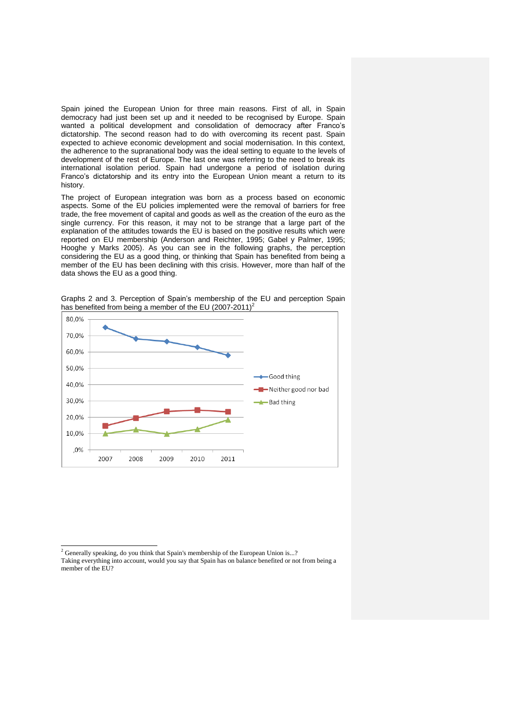Spain joined the European Union for three main reasons. First of all, in Spain democracy had just been set up and it needed to be recognised by Europe. Spain wanted a political development and consolidation of democracy after Franco's dictatorship. The second reason had to do with overcoming its recent past. Spain expected to achieve economic development and social modernisation. In this context, the adherence to the supranational body was the ideal setting to equate to the levels of development of the rest of Europe. The last one was referring to the need to break its international isolation period. Spain had undergone a period of isolation during Franco's dictatorship and its entry into the European Union meant a return to its history.

The project of European integration was born as a process based on economic aspects. Some of the EU policies implemented were the removal of barriers for free trade, the free movement of capital and goods as well as the creation of the euro as the single currency. For this reason, it may not to be strange that a large part of the explanation of the attitudes towards the EU is based on the positive results which were reported on EU membership (Anderson and Reichter, 1995; Gabel y Palmer, 1995; Hooghe y Marks 2005). As you can see in the following graphs, the perception considering the EU as a good thing, or thinking that Spain has benefited from being a member of the EU has been declining with this crisis. However, more than half of the data shows the EU as a good thing.





 $\overline{a}$ 

 $2^2$  Generally speaking, do you think that Spain's membership of the European Union is...? Taking everything into account, would you say that Spain has on balance benefited or not from being a member of the EU?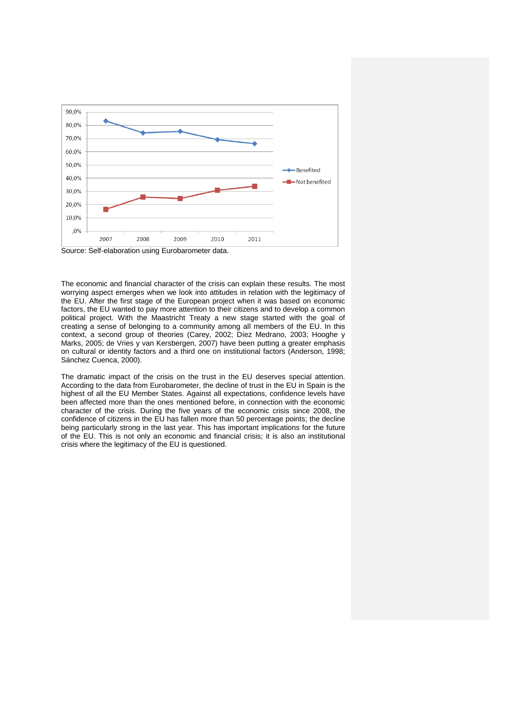

Source: Self-elaboration using Eurobarometer data.

The economic and financial character of the crisis can explain these results. The most worrying aspect emerges when we look into attitudes in relation with the legitimacy of the EU. After the first stage of the European project when it was based on economic factors, the EU wanted to pay more attention to their citizens and to develop a common political project. With the Maastricht Treaty a new stage started with the goal of creating a sense of belonging to a community among all members of the EU. In this context, a second group of theories (Carey, 2002; Díez Medrano, 2003; Hooghe y Marks, 2005; de Vries y van Kersbergen, 2007) have been putting a greater emphasis on cultural or identity factors and a third one on institutional factors (Anderson, 1998; Sánchez Cuenca, 2000).

The dramatic impact of the crisis on the trust in the EU deserves special attention. According to the data from Eurobarometer, the decline of trust in the EU in Spain is the highest of all the EU Member States. Against all expectations, confidence levels have been affected more than the ones mentioned before, in connection with the economic character of the crisis. During the five years of the economic crisis since 2008, the confidence of citizens in the EU has fallen more than 50 percentage points; the decline being particularly strong in the last year. This has important implications for the future of the EU. This is not only an economic and financial crisis; it is also an institutional crisis where the legitimacy of the EU is questioned.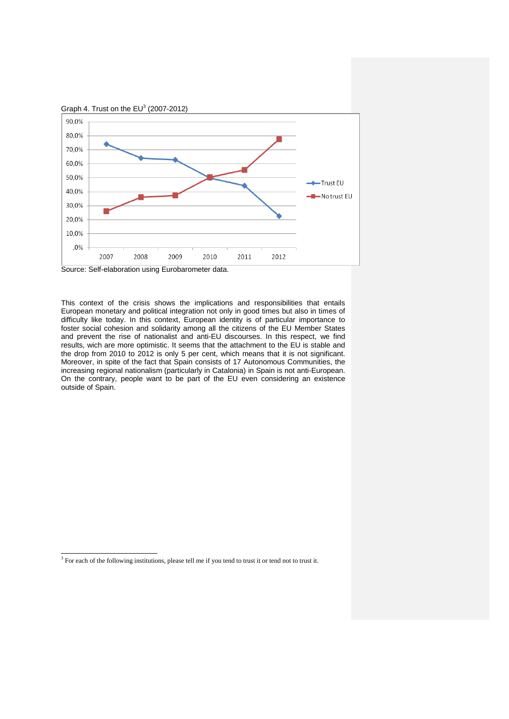

This context of the crisis shows the implications and responsibilities that entails European monetary and political integration not only in good times but also in times of difficulty like today. In this context, European identity is of particular importance to foster social cohesion and solidarity among all the citizens of the EU Member States and prevent the rise of nationalist and anti-EU discourses. In this respect, we find results, wich are more optimistic. It seems that the attachment to the EU is stable and the drop from 2010 to 2012 is only 5 per cent, which means that it is not significant. Moreover, in spite of the fact that Spain consists of 17 Autonomous Communities, the increasing regional nationalism (particularly in Catalonia) in Spain is not anti-European. On the contrary, people want to be part of the EU even considering an existence outside of Spain.

<sup>&</sup>lt;sup>3</sup> For each of the following institutions, please tell me if you tend to trust it or tend not to trust it.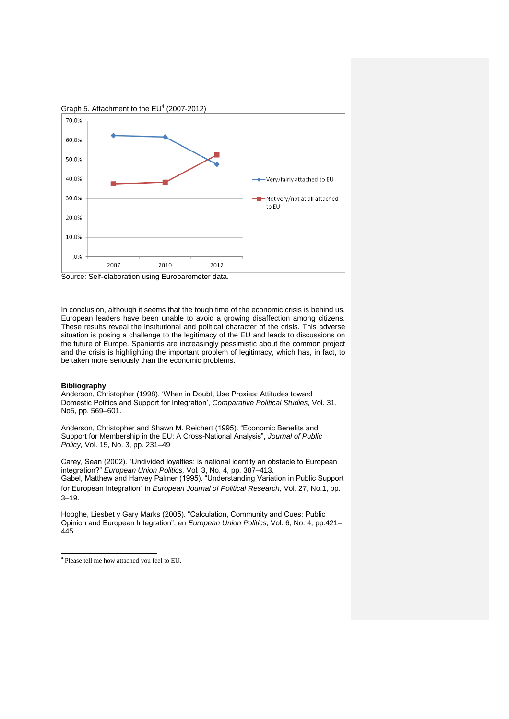

Source: Self-elaboration using Eurobarometer data.

In conclusion, although it seems that the tough time of the economic crisis is behind us, European leaders have been unable to avoid a growing disaffection among citizens. These results reveal the institutional and political character of the crisis. This adverse situation is posing a challenge to the legitimacy of the EU and leads to discussions on the future of Europe. Spaniards are increasingly pessimistic about the common project and the crisis is highlighting the important problem of legitimacy, which has, in fact, to be taken more seriously than the economic problems.

## **Bibliography**

Anderson, Christopher (1998). 'When in Doubt, Use Proxies: Attitudes toward Domestic Politics and Support for Integration', *Comparative Political Studies,* Vol. 31, No5, pp. 569–601.

Anderson, Christopher and Shawn M. Reichert (1995). "Economic Benefits and Support for Membership in the EU: A Cross-National Analysis", *Journal of Public Policy,* Vol. 15, No. 3, pp. 231–49

Carey, Sean (2002). "Undivided loyalties: is national identity an obstacle to European integration?" *European Union Politics,* Vol*.* 3, No. 4, pp. 387–413. Gabel, Matthew and Harvey Palmer (1995). "Understanding Variation in Public Support for European Integration" in *European Journal of Political Research,* Vol*.* 27, No.1, pp. 3–19.

Hooghe, Liesbet y Gary Marks (2005). "Calculation, Community and Cues: Public Opinion and European Integration", en *European Union Politics,* Vol. 6, No. 4, pp.421– 445.

 4 Please tell me how attached you feel to EU.